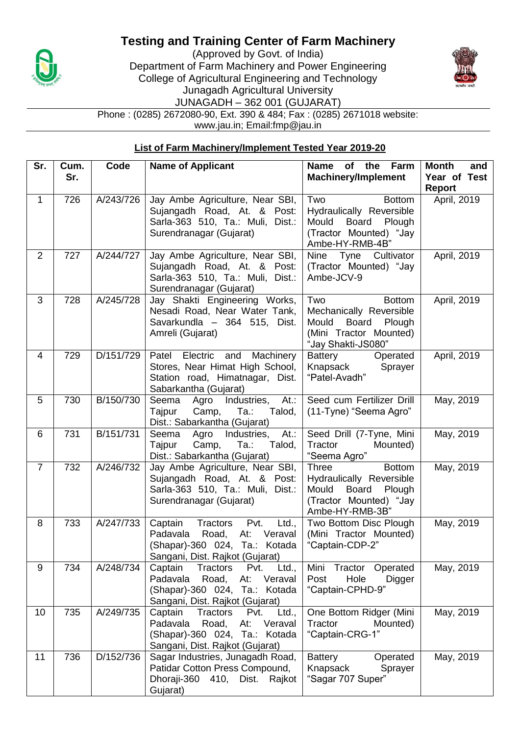## **Testing and Training Center of Farm Machinery**



(Approved by Govt. of India) Department of Farm Machinery and Power Engineering College of Agricultural Engineering and Technology Junagadh Agricultural University JUNAGADH – 362 001 (GUJARAT)



Phone : (0285) 2672080-90, Ext. 390 & 484; Fax : (0285) 2671018 website: www.jau.in; Email:fmp@jau.in

## **List of Farm Machinery/Implement Tested Year 2019-20**

| Sr.            | Cum. | Code      | <b>Name of Applicant</b>                                                                                                                               | of the<br>Farm<br><b>Name</b>                                                                                                             | <b>Month</b><br>and           |
|----------------|------|-----------|--------------------------------------------------------------------------------------------------------------------------------------------------------|-------------------------------------------------------------------------------------------------------------------------------------------|-------------------------------|
|                | Sr.  |           |                                                                                                                                                        | <b>Machinery/Implement</b>                                                                                                                | Year of Test<br><b>Report</b> |
| $\mathbf{1}$   | 726  | A/243/726 | Jay Ambe Agriculture, Near SBI,<br>Sujangadh Road, At. & Post:<br>Sarla-363 510, Ta.: Muli, Dist.:<br>Surendranagar (Gujarat)                          | Two<br><b>Bottom</b><br>Hydraulically Reversible<br>Board<br>Plough<br>Mould<br>(Tractor Mounted) "Jay<br>Ambe-HY-RMB-4B"                 | April, 2019                   |
| 2              | 727  | A/244/727 | Jay Ambe Agriculture, Near SBI,<br>Sujangadh Road, At. & Post:<br>Sarla-363 510, Ta.: Muli, Dist.:<br>Surendranagar (Gujarat)                          | Cultivator<br><b>Nine</b><br>Tyne<br>(Tractor Mounted) "Jay<br>Ambe-JCV-9                                                                 | April, 2019                   |
| 3              | 728  | A/245/728 | Jay Shakti Engineering Works,<br>Nesadi Road, Near Water Tank,<br>Savarkundla - 364 515, Dist.<br>Amreli (Gujarat)                                     | Two<br><b>Bottom</b><br>Mechanically Reversible<br>Mould<br>Board<br>Plough<br>(Mini Tractor Mounted)<br>"Jay Shakti-JS080"               | April, 2019                   |
| 4              | 729  | D/151/729 | Patel Electric and Machinery<br>Stores, Near Himat High School,<br>Station road, Himatnagar, Dist.<br>Sabarkantha (Gujarat)                            | Operated<br>Battery<br>Knapsack<br>Sprayer<br>"Patel-Avadh"                                                                               | April, 2019                   |
| 5              | 730  | B/150/730 | At.<br>Industries,<br>Seema<br>Agro<br>Tajpur<br>Talod,<br>Camp,<br>$Ta$ :<br>Dist.: Sabarkantha (Gujarat)                                             | Seed cum Fertilizer Drill<br>(11-Tyne) "Seema Agro"                                                                                       | May, 2019                     |
| 6              | 731  | B/151/731 | Seema<br>Industries,<br>At.:<br>Agro<br>Tajpur<br>Camp,<br>Ta.:<br>Talod,<br>Dist.: Sabarkantha (Gujarat)                                              | Seed Drill (7-Tyne, Mini<br>Tractor<br>Mounted)<br>"Seema Agro"                                                                           | May, 2019                     |
| $\overline{7}$ | 732  | A/246/732 | Jay Ambe Agriculture, Near SBI,<br>Sujangadh Road, At. & Post:<br>Sarla-363 510, Ta.: Muli, Dist.:<br>Surendranagar (Gujarat)                          | <b>Three</b><br><b>Bottom</b><br>Hydraulically Reversible<br>Mould<br><b>Board</b><br>Plough<br>(Tractor Mounted) "Jay<br>Ambe-HY-RMB-3B" | May, 2019                     |
| 8              | 733  | A/247/733 | Captain<br>Tractors<br>Pvt.<br>Ltd.,<br>Padavala<br>Road,<br>At:<br>Veraval<br>(Shapar)-360 024, Ta.: Kotada<br>Sangani, Dist. Rajkot (Gujarat)        | Two Bottom Disc Plough<br>(Mini Tractor Mounted)<br>"Captain-CDP-2"                                                                       | May, 2019                     |
| 9              | 734  | A/248/734 | Captain<br><b>Tractors</b><br>Pvt.<br>Ltd.,<br>Padavala<br>Veraval<br>Road,<br>At:<br>(Shapar)-360 024, Ta.: Kotada<br>Sangani, Dist. Rajkot (Gujarat) | Mini Tractor Operated<br>Hole<br>Post<br>Digger<br>"Captain-CPHD-9"                                                                       | May, 2019                     |
| 10             | 735  | A/249/735 | Captain<br>Ltd.,<br><b>Tractors</b><br>Pvt.<br>Padavala<br>Road,<br>At:<br>Veraval<br>(Shapar)-360 024, Ta.: Kotada<br>Sangani, Dist. Rajkot (Gujarat) | One Bottom Ridger (Mini<br>Tractor<br>Mounted)<br>"Captain-CRG-1"                                                                         | May, 2019                     |
| 11             | 736  | D/152/736 | Sagar Industries, Junagadh Road,<br>Patidar Cotton Press Compound,<br>Dhoraji-360<br>410, Dist.<br>Rajkot<br>Gujarat)                                  | <b>Battery</b><br>Operated<br>Knapsack<br>Sprayer<br>"Sagar 707 Super"                                                                    | May, 2019                     |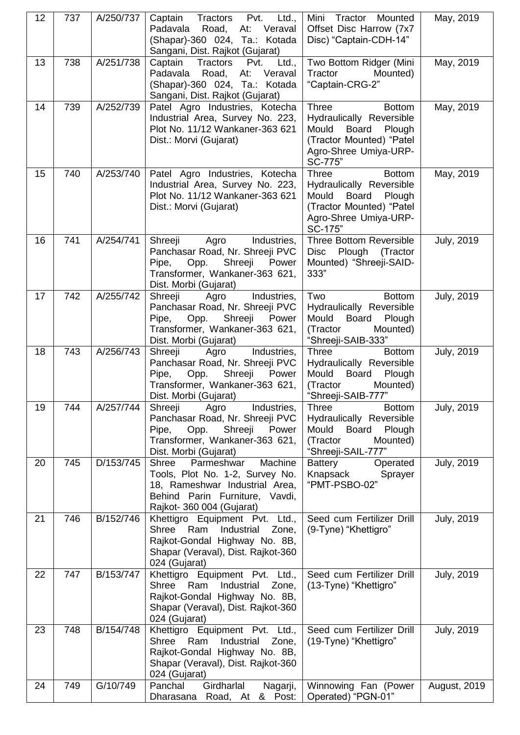| 12 | 737 | A/250/737 | Captain<br>Tractors Pvt. Ltd.,<br>Padavala<br>Road,<br>Veraval<br>At:<br>(Shapar)-360 024, Ta.: Kotada<br>Sangani, Dist. Rajkot (Gujarat)                          | Mini Tractor Mounted<br>Offset Disc Harrow (7x7<br>Disc) "Captain-CDH-14"                                                                                    | May, 2019           |
|----|-----|-----------|--------------------------------------------------------------------------------------------------------------------------------------------------------------------|--------------------------------------------------------------------------------------------------------------------------------------------------------------|---------------------|
| 13 | 738 | A/251/738 | Captain<br>Tractors<br>Pvt.<br>Ltd.,<br>Padavala<br>Road, At: Veraval<br>(Shapar)-360 024, Ta.: Kotada<br>Sangani, Dist. Rajkot (Gujarat)                          | Two Bottom Ridger (Mini<br>Tractor<br>Mounted)<br>"Captain-CRG-2"                                                                                            | May, 2019           |
| 14 | 739 | A/252/739 | Patel Agro Industries, Kotecha<br>Industrial Area, Survey No. 223,<br>Plot No. 11/12 Wankaner-363 621<br>Dist.: Morvi (Gujarat)                                    | <b>Three</b><br><b>Bottom</b><br>Hydraulically Reversible<br><b>Board</b><br>Mould<br>Plough<br>(Tractor Mounted) "Patel<br>Agro-Shree Umiya-URP-<br>SC-775" | May, 2019           |
| 15 | 740 | A/253/740 | Patel Agro Industries, Kotecha<br>Industrial Area, Survey No. 223,<br>Plot No. 11/12 Wankaner-363 621<br>Dist.: Morvi (Gujarat)                                    | <b>Three</b><br><b>Bottom</b><br>Hydraulically Reversible<br>Mould<br>Board<br>Plough<br>(Tractor Mounted) "Patel<br>Agro-Shree Umiya-URP-<br>SC-175"        | May, 2019           |
| 16 | 741 | A/254/741 | Agro<br>Shreeji<br>Industries,<br>Panchasar Road, Nr. Shreeji PVC<br>Shreeji Power<br>Pipe,<br>Opp.<br>Transformer, Wankaner-363 621,<br>Dist. Morbi (Gujarat)     | Three Bottom Reversible<br>Plough (Tractor<br>Disc<br>Mounted) "Shreeji-SAID-<br>333"                                                                        | July, 2019          |
| 17 | 742 | A/255/742 | Shreeji<br>Agro<br>Industries,<br>Panchasar Road, Nr. Shreeji PVC<br>Pipe,<br>Shreeji<br>Opp.<br>Power<br>Transformer, Wankaner-363 621,<br>Dist. Morbi (Gujarat)  | Two<br><b>Bottom</b><br>Hydraulically Reversible<br>Mould<br><b>Board</b><br>Plough<br>(Tractor<br>Mounted)<br>"Shreeji-SAIB-333"                            | <b>July, 2019</b>   |
| 18 | 743 | A/256/743 | Shreeji<br>Industries,<br>Agro<br>Panchasar Road, Nr. Shreeji PVC<br>Shreeji<br>Opp.<br>Pipe.<br>Power<br>Transformer, Wankaner-363 621,<br>Dist. Morbi (Gujarat)  | <b>Three</b><br><b>Bottom</b><br>Hydraulically Reversible<br>Mould Board<br>Plough<br>Mounted)<br>(Tractor<br>"Shreeji-SAIB-777"                             | <b>July, 2019</b>   |
| 19 | 744 | A/257/744 | Shreeji<br>Agro<br>Industries,<br>Panchasar Road, Nr. Shreeji PVC<br>Shreeji<br>Pipe,<br>Opp.<br>Power<br>Transformer, Wankaner-363 621,<br>Dist. Morbi (Gujarat)  | Three<br><b>Bottom</b><br>Hydraulically Reversible<br>Mould<br><b>Board</b><br>Plough<br>(Tractor<br>Mounted)<br>"Shreeji-SAIL-777"                          | <b>July, 2019</b>   |
| 20 | 745 | D/153/745 | Machine<br>Parmeshwar<br>Shree<br>Tools, Plot No. 1-2, Survey No.<br>18, Rameshwar Industrial Area,<br>Behind Parin Furniture, Vavdi,<br>Rajkot- 360 004 (Gujarat) | <b>Battery</b><br>Operated<br>Knapsack<br>Sprayer<br>"PMT-PSBO-02"                                                                                           | <b>July, 2019</b>   |
| 21 | 746 | B/152/746 | Khettigro Equipment Pvt. Ltd.,<br>Shree<br>Ram<br>Industrial<br>Zone,<br>Rajkot-Gondal Highway No. 8B,<br>Shapar (Veraval), Dist. Rajkot-360<br>024 (Gujarat)      | Seed cum Fertilizer Drill<br>(9-Tyne) "Khettigro"                                                                                                            | <b>July, 2019</b>   |
| 22 | 747 | B/153/747 | Khettigro Equipment Pvt. Ltd.,<br>Industrial<br>Shree<br>Ram<br>Zone,<br>Rajkot-Gondal Highway No. 8B,<br>Shapar (Veraval), Dist. Rajkot-360<br>024 (Gujarat)      | Seed cum Fertilizer Drill<br>(13-Tyne) "Khettigro"                                                                                                           | <b>July, 2019</b>   |
| 23 | 748 | B/154/748 | Khettigro Equipment Pvt. Ltd.,<br>Shree<br>Ram<br>Industrial<br>Zone,<br>Rajkot-Gondal Highway No. 8B,<br>Shapar (Veraval), Dist. Rajkot-360<br>024 (Gujarat)      | Seed cum Fertilizer Drill<br>(19-Tyne) "Khettigro"                                                                                                           | <b>July, 2019</b>   |
| 24 | 749 | G/10/749  | Girdharlal<br>Panchal<br>Nagarji,<br>& Post:<br>Dharasana Road, At                                                                                                 | Winnowing Fan (Power<br>Operated) "PGN-01"                                                                                                                   | <b>August, 2019</b> |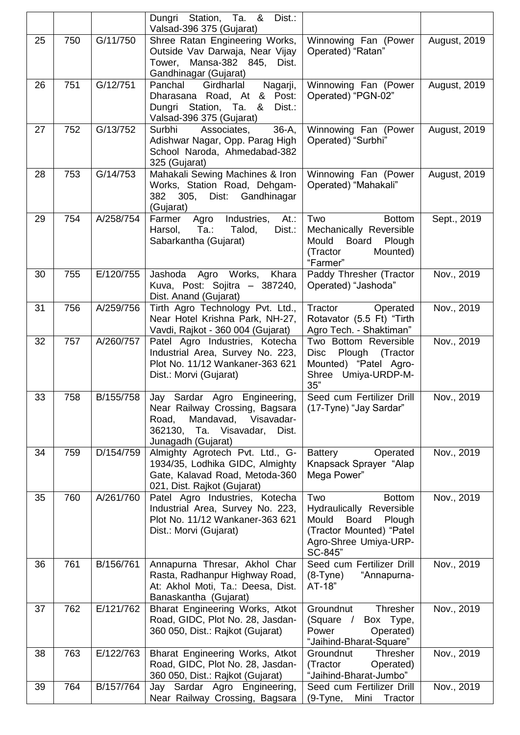|    |     |           | Dungri Station, Ta. &<br>Dist.:<br>Valsad-396 375 (Gujarat)                                                                                                 |                                                                                                                                              |                     |
|----|-----|-----------|-------------------------------------------------------------------------------------------------------------------------------------------------------------|----------------------------------------------------------------------------------------------------------------------------------------------|---------------------|
| 25 | 750 | G/11/750  | Shree Ratan Engineering Works,<br>Outside Vav Darwaja, Near Vijay<br>Mansa-382 845,<br>Tower,<br>Dist.<br>Gandhinagar (Gujarat)                             | Winnowing Fan (Power<br>Operated) "Ratan"                                                                                                    | August, 2019        |
| 26 | 751 | G/12/751  | Girdharlal<br>Panchal<br>Nagarji,<br>Dharasana Road, At & Post:<br>Dungri Station, Ta.<br>Dist.:<br>&<br>Valsad-396 375 (Gujarat)                           | Winnowing Fan (Power<br>Operated) "PGN-02"                                                                                                   | <b>August, 2019</b> |
| 27 | 752 | G/13/752  | 36-A,<br>Surbhi<br>Associates,<br>Adishwar Nagar, Opp. Parag High<br>School Naroda, Ahmedabad-382<br>325 (Gujarat)                                          | Winnowing Fan (Power<br>Operated) "Surbhi"                                                                                                   | <b>August, 2019</b> |
| 28 | 753 | G/14/753  | Mahakali Sewing Machines & Iron<br>Works, Station Road, Dehgam-<br>382<br>305, Dist: Gandhinagar<br>(Gujarat)                                               | Winnowing Fan (Power<br>Operated) "Mahakali"                                                                                                 | August, 2019        |
| 29 | 754 | A/258/754 | At.:<br>Farmer<br>Agro<br>Industries,<br>Ta.:<br>Talod,<br>Dist.:<br>Harsol,<br>Sabarkantha (Gujarat)                                                       | Two<br><b>Bottom</b><br>Mechanically Reversible<br>Mould Board<br>Plough<br>Mounted)<br>(Tractor<br>"Farmer"                                 | Sept., 2019         |
| 30 | 755 | E/120/755 | Jashoda Agro Works, Khara<br>Kuva, Post: Sojitra - 387240,<br>Dist. Anand (Gujarat)                                                                         | Paddy Thresher (Tractor<br>Operated) "Jashoda"                                                                                               | Nov., 2019          |
| 31 | 756 | A/259/756 | Tirth Agro Technology Pvt. Ltd.,<br>Near Hotel Krishna Park, NH-27,<br>Vavdi, Rajkot - 360 004 (Gujarat)                                                    | Tractor<br>Operated<br>Rotavator (5.5 Ft) "Tirth<br>Agro Tech. - Shaktiman"                                                                  | Nov., 2019          |
| 32 | 757 | A/260/757 | Patel Agro Industries, Kotecha<br>Industrial Area, Survey No. 223,<br>Plot No. 11/12 Wankaner-363 621<br>Dist.: Morvi (Gujarat)                             | Two Bottom Reversible<br>Plough (Tractor<br><b>Disc</b><br>Mounted) "Patel Agro-<br>Shree Umiya-URDP-M-<br>35"                               | Nov., 2019          |
| 33 | 758 | B/155/758 | Jay Sardar Agro Engineering,<br>Near Railway Crossing, Bagsara<br>Mandavad,<br>Visavadar-<br>Road,<br>362130, Ta. Visavadar,<br>Dist.<br>Junagadh (Gujarat) | Seed cum Fertilizer Drill<br>(17-Tyne) "Jay Sardar"                                                                                          | Nov., 2019          |
| 34 | 759 | D/154/759 | Almighty Agrotech Pvt. Ltd., G-<br>1934/35, Lodhika GIDC, Almighty<br>Gate, Kalavad Road, Metoda-360<br>021, Dist. Rajkot (Gujarat)                         | Operated<br><b>Battery</b><br>Knapsack Sprayer "Alap<br>Mega Power"                                                                          | Nov., 2019          |
| 35 | 760 | A/261/760 | Patel Agro Industries, Kotecha<br>Industrial Area, Survey No. 223,<br>Plot No. 11/12 Wankaner-363 621<br>Dist.: Morvi (Gujarat)                             | Two<br><b>Bottom</b><br>Hydraulically Reversible<br>Board<br>Mould<br>Plough<br>(Tractor Mounted) "Patel<br>Agro-Shree Umiya-URP-<br>SC-845" | Nov., 2019          |
| 36 | 761 | B/156/761 | Annapurna Thresar, Akhol Char<br>Rasta, Radhanpur Highway Road,<br>At: Akhol Moti, Ta.: Deesa, Dist.<br>Banaskantha (Gujarat)                               | Seed cum Fertilizer Drill<br>$(8-Tyne)$<br>"Annapurna-<br>AT-18"                                                                             | Nov., 2019          |
| 37 | 762 | E/121/762 | Bharat Engineering Works, Atkot<br>Road, GIDC, Plot No. 28, Jasdan-<br>360 050, Dist.: Rajkot (Gujarat)                                                     | Thresher<br>Groundnut<br>Box Type,<br>(Square /<br>Power<br>Operated)<br>"Jaihind-Bharat-Square"                                             | Nov., 2019          |
| 38 | 763 | E/122/763 | Bharat Engineering Works, Atkot<br>Road, GIDC, Plot No. 28, Jasdan-<br>360 050, Dist.: Rajkot (Gujarat)                                                     | <b>Thresher</b><br>Groundnut<br>(Tractor<br>Operated)<br>"Jaihind-Bharat-Jumbo"                                                              | Nov., 2019          |
| 39 | 764 | B/157/764 | Jay Sardar Agro Engineering,<br>Near Railway Crossing, Bagsara                                                                                              | Seed cum Fertilizer Drill<br>$(9-Tyne,$<br>Mini<br>Tractor                                                                                   | Nov., 2019          |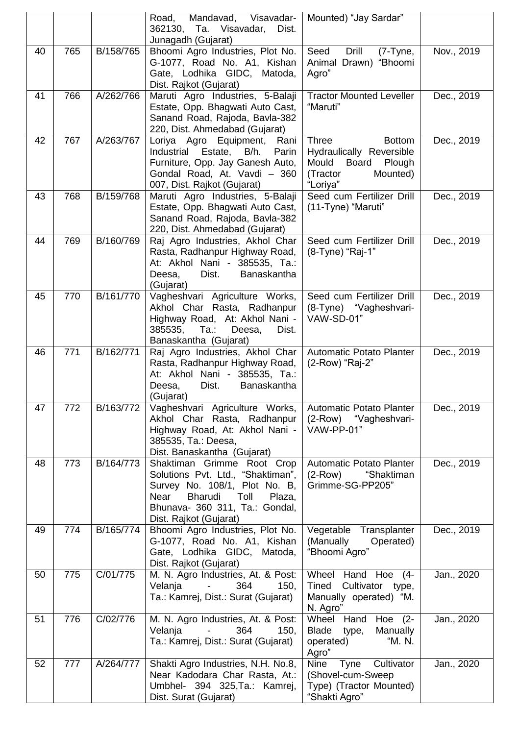|    |     |           | Mandavad, Visavadar-<br>Road,<br>362130, Ta. Visavadar,<br>Dist.<br>Junagadh (Gujarat)                                                                                                                   | Mounted) "Jay Sardar"                                                                                                  |            |
|----|-----|-----------|----------------------------------------------------------------------------------------------------------------------------------------------------------------------------------------------------------|------------------------------------------------------------------------------------------------------------------------|------------|
| 40 | 765 | B/158/765 | Bhoomi Agro Industries, Plot No.<br>G-1077, Road No. A1, Kishan<br>Gate, Lodhika GIDC, Matoda,<br>Dist. Rajkot (Gujarat)                                                                                 | Drill<br>Seed<br>$(7-Tyne,$<br>Animal Drawn) "Bhoomi<br>Agro"                                                          | Nov., 2019 |
| 41 | 766 | A/262/766 | Maruti Agro Industries, 5-Balaji<br>Estate, Opp. Bhagwati Auto Cast,<br>Sanand Road, Rajoda, Bavla-382<br>220, Dist. Ahmedabad (Gujarat)                                                                 | <b>Tractor Mounted Leveller</b><br>"Maruti"                                                                            | Dec., 2019 |
| 42 | 767 | A/263/767 | Loriya Agro Equipment,<br>Rani<br>Industrial Estate,<br>B/h.<br>Parin<br>Furniture, Opp. Jay Ganesh Auto,<br>Gondal Road, At. Vavdi - 360<br>007, Dist. Rajkot (Gujarat)                                 | <b>Three</b><br><b>Bottom</b><br>Hydraulically Reversible<br>Mould<br>Board Plough<br>(Tractor<br>Mounted)<br>"Loriya" | Dec., 2019 |
| 43 | 768 | B/159/768 | Maruti Agro Industries, 5-Balaji<br>Estate, Opp. Bhagwati Auto Cast,<br>Sanand Road, Rajoda, Bavla-382<br>220, Dist. Ahmedabad (Gujarat)                                                                 | Seed cum Fertilizer Drill<br>(11-Tyne) "Maruti"                                                                        | Dec., 2019 |
| 44 | 769 | B/160/769 | Raj Agro Industries, Akhol Char<br>Rasta, Radhanpur Highway Road,<br>At: Akhol Nani - 385535, Ta.:<br>Dist.<br>Banaskantha<br>Deesa,<br>(Gujarat)                                                        | Seed cum Fertilizer Drill<br>(8-Tyne) "Raj-1"                                                                          | Dec., 2019 |
| 45 | 770 | B/161/770 | Vagheshvari Agriculture Works,<br>Akhol Char Rasta, Radhanpur<br>Highway Road, At: Akhol Nani -<br>Ta.:<br>385535,<br>Deesa,<br>Dist.<br>Banaskantha (Gujarat)                                           | Seed cum Fertilizer Drill<br>(8-Tyne) "Vagheshvari-<br>VAW-SD-01"                                                      | Dec., 2019 |
| 46 | 771 | B/162/771 | Raj Agro Industries, Akhol Char<br>Rasta, Radhanpur Highway Road,<br>At: Akhol Nani - 385535, Ta.:<br>Dist.<br>Banaskantha<br>Deesa,<br>(Gujarat)                                                        | <b>Automatic Potato Planter</b><br>(2-Row) "Raj-2"                                                                     | Dec., 2019 |
| 47 | 772 | B/163/772 | Vagheshvari Agriculture Works,<br>Akhol Char Rasta, Radhanpur<br>Highway Road, At: Akhol Nani -<br>385535, Ta.: Deesa,<br>Dist. Banaskantha (Gujarat)                                                    | Automatic Potato Planter<br>(2-Row) "Vagheshvari-<br>VAW-PP-01"                                                        | Dec., 2019 |
| 48 | 773 | B/164/773 | Shaktiman Grimme Root Crop<br>Solutions Pvt. Ltd., "Shaktiman",<br>Survey No. 108/1, Plot No. B,<br>Bharudi<br>Toll<br>Plaza,<br><b>Near</b><br>Bhunava- 360 311, Ta.: Gondal,<br>Dist. Rajkot (Gujarat) | <b>Automatic Potato Planter</b><br>"Shaktiman<br>$(2-Row)$<br>Grimme-SG-PP205"                                         | Dec., 2019 |
| 49 | 774 | B/165/774 | Bhoomi Agro Industries, Plot No.<br>G-1077, Road No. A1, Kishan<br>Gate, Lodhika GIDC, Matoda,<br>Dist. Rajkot (Gujarat)                                                                                 | Vegetable Transplanter<br>(Manually<br>Operated)<br>"Bhoomi Agro"                                                      | Dec., 2019 |
| 50 | 775 | C/01/775  | M. N. Agro Industries, At. & Post:<br>Velanja<br>364<br>150,<br>Ta.: Kamrej, Dist.: Surat (Gujarat)                                                                                                      | Wheel Hand Hoe (4-<br>Tined<br>Cultivator type,<br>Manually operated) "M.<br>N. Agro"                                  | Jan., 2020 |
| 51 | 776 | C/02/776  | M. N. Agro Industries, At. & Post:<br>Velanja<br>364<br>150,<br>Ta.: Kamrej, Dist.: Surat (Gujarat)                                                                                                      | Hoe (2-<br>Wheel Hand<br>Blade<br>type,<br>Manually<br>"M. N.<br>operated)<br>Agro"                                    | Jan., 2020 |
| 52 | 777 | A/264/777 | Shakti Agro Industries, N.H. No.8,<br>Near Kadodara Char Rasta, At.:<br>Umbhel- 394 325, Ta.: Kamrej,<br>Dist. Surat (Gujarat)                                                                           | Nine<br>Cultivator<br>Tyne<br>(Shovel-cum-Sweep)<br>Type) (Tractor Mounted)<br>"Shakti Agro"                           | Jan., 2020 |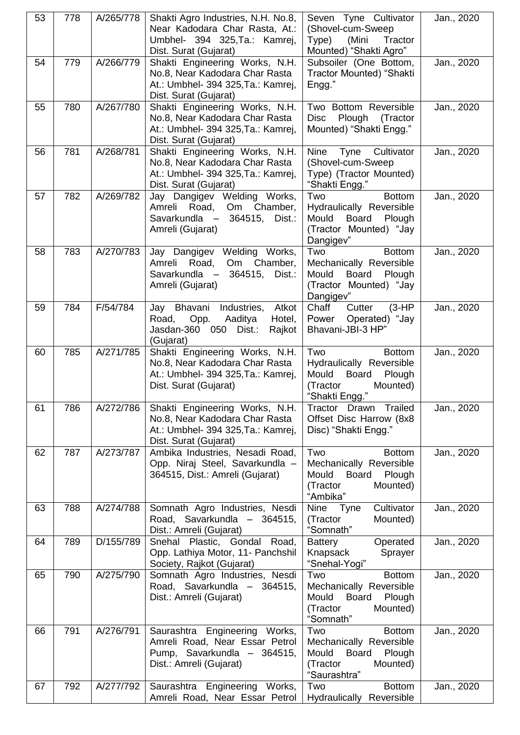| 53 | 778 | A/265/778 | Shakti Agro Industries, N.H. No.8,<br>Near Kadodara Char Rasta, At.:<br>Umbhel- 394 325, Ta.: Kamrej,<br>Dist. Surat (Gujarat)  | Seven Tyne Cultivator<br>(Shovel-cum-Sweep)<br>(Mini<br>Type)<br>Tractor<br>Mounted) "Shakti Agro"                         | Jan., 2020 |
|----|-----|-----------|---------------------------------------------------------------------------------------------------------------------------------|----------------------------------------------------------------------------------------------------------------------------|------------|
| 54 | 779 | A/266/779 | Shakti Engineering Works, N.H.<br>No.8, Near Kadodara Char Rasta<br>At.: Umbhel- 394 325, Ta.: Kamrej,<br>Dist. Surat (Gujarat) | Subsoiler (One Bottom,<br>Tractor Mounted) "Shakti<br>Engg."                                                               | Jan., 2020 |
| 55 | 780 | A/267/780 | Shakti Engineering Works, N.H.<br>No.8, Near Kadodara Char Rasta<br>At.: Umbhel- 394 325, Ta.: Kamrej,<br>Dist. Surat (Gujarat) | Two Bottom Reversible<br>Plough<br><b>Disc</b><br>(Tractor<br>Mounted) "Shakti Engg."                                      | Jan., 2020 |
| 56 | 781 | A/268/781 | Shakti Engineering Works, N.H.<br>No.8, Near Kadodara Char Rasta<br>At.: Umbhel- 394 325, Ta.: Kamrej,<br>Dist. Surat (Gujarat) | <b>Nine</b><br>Tyne Cultivator<br>(Shovel-cum-Sweep<br>Type) (Tractor Mounted)<br>"Shakti Engg."                           | Jan., 2020 |
| 57 | 782 | A/269/782 | Jay Dangigev Welding Works,<br>Amreli<br>Road,<br>Om Chamber,<br>Savarkundla - 364515, Dist.:<br>Amreli (Gujarat)               | Two<br><b>Bottom</b><br>Hydraulically Reversible<br>Mould<br>Board<br>Plough<br>(Tractor Mounted) "Jay<br>Dangigev"        | Jan., 2020 |
| 58 | 783 | A/270/783 | Jay Dangigev Welding Works,<br>Road,<br>Om Chamber,<br>Amreli<br>364515,<br>Savarkundla -<br>Dist.:<br>Amreli (Gujarat)         | Two<br><b>Bottom</b><br>Mechanically Reversible<br><b>Board</b><br>Mould<br>Plough<br>(Tractor Mounted) "Jay<br>Dangigev"  | Jan., 2020 |
| 59 | 784 | F/54/784  | Jay Bhavani Industries,<br>Atkot<br>Opp.<br>Aaditya<br>Hotel,<br>Road,<br>Jasdan-360 050 Dist.:<br>Rajkot<br>(Gujarat)          | Chaff<br>Cutter<br>$(3-HP)$<br>Operated) "Jay<br>Power<br>Bhavani-JBI-3 HP"                                                | Jan., 2020 |
| 60 | 785 | A/271/785 | Shakti Engineering Works, N.H.<br>No.8, Near Kadodara Char Rasta<br>At.: Umbhel- 394 325, Ta.: Kamrej,<br>Dist. Surat (Gujarat) | Two<br><b>Bottom</b><br>Hydraulically Reversible<br>Mould<br>Board<br>Plough<br>(Tractor<br>Mounted)<br>"Shakti Engg."     | Jan., 2020 |
| 61 | 786 | A/272/786 | Shakti Engineering Works, N.H.<br>No.8, Near Kadodara Char Rasta<br>At.: Umbhel- 394 325, Ta.: Kamrej,<br>Dist. Surat (Gujarat) | Tractor Drawn Trailed<br>Offset Disc Harrow (8x8<br>Disc) "Shakti Engg."                                                   | Jan., 2020 |
| 62 | 787 | A/273/787 | Ambika Industries, Nesadi Road,<br>Opp. Niraj Steel, Savarkundla -<br>364515, Dist.: Amreli (Gujarat)                           | Two<br><b>Bottom</b><br>Mechanically Reversible<br>Mould<br><b>Board</b><br>Plough<br>(Tractor<br>Mounted)<br>"Ambika"     | Jan., 2020 |
| 63 | 788 | A/274/788 | Somnath Agro Industries, Nesdi<br>Road, Savarkundla - 364515,<br>Dist.: Amreli (Gujarat)                                        | Cultivator<br>Nine Tyne<br>(Tractor<br>Mounted)<br>"Somnath"                                                               | Jan., 2020 |
| 64 | 789 | D/155/789 | Snehal Plastic, Gondal Road,<br>Opp. Lathiya Motor, 11- Panchshil<br>Society, Rajkot (Gujarat)                                  | Operated<br><b>Battery</b><br>Knapsack<br>Sprayer<br>"Snehal-Yogi"                                                         | Jan., 2020 |
| 65 | 790 | A/275/790 | Somnath Agro Industries, Nesdi<br>Road, Savarkundla - 364515,<br>Dist.: Amreli (Gujarat)                                        | <b>Bottom</b><br>Two<br>Mechanically Reversible<br>Mould<br><b>Board</b><br>Plough<br>(Tractor<br>Mounted)<br>"Somnath"    | Jan., 2020 |
| 66 | 791 | A/276/791 | Saurashtra Engineering Works,<br>Amreli Road, Near Essar Petrol<br>Pump, Savarkundla - 364515,<br>Dist.: Amreli (Gujarat)       | Two<br><b>Bottom</b><br>Mechanically Reversible<br>Mould<br><b>Board</b><br>Plough<br>(Tractor<br>Mounted)<br>"Saurashtra" | Jan., 2020 |
| 67 | 792 | A/277/792 | Saurashtra Engineering Works,<br>Amreli Road, Near Essar Petrol                                                                 | Two<br><b>Bottom</b><br>Hydraulically Reversible                                                                           | Jan., 2020 |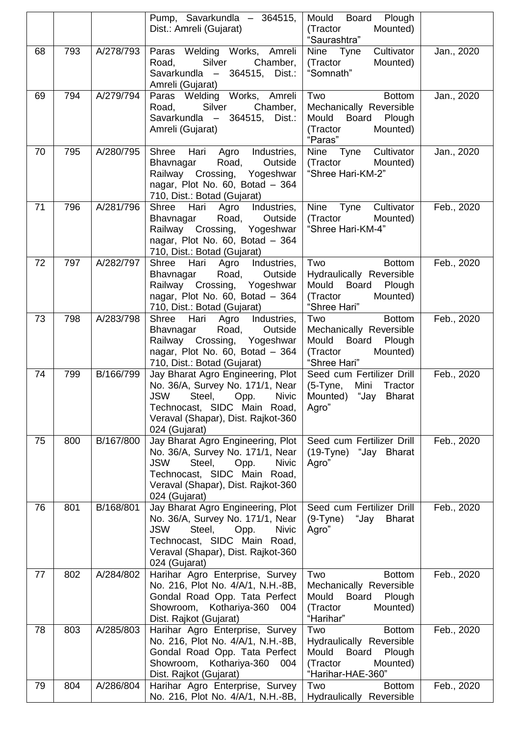|    |     |           | Pump, Savarkundla - 364515,<br>Dist.: Amreli (Gujarat)                                                                                                                                                      | Mould Board Plough<br>Mounted)<br>(Tractor<br>"Saurashtra"                                                                |            |
|----|-----|-----------|-------------------------------------------------------------------------------------------------------------------------------------------------------------------------------------------------------------|---------------------------------------------------------------------------------------------------------------------------|------------|
| 68 | 793 | A/278/793 | Paras Welding Works, Amreli<br>Silver<br>Chamber,<br>Road,<br>Savarkundla - 364515, Dist.:<br>Amreli (Gujarat)                                                                                              | Cultivator<br>Nine Tyne<br>Mounted)<br>(Tractor<br>"Somnath"                                                              | Jan., 2020 |
| 69 | 794 | A/279/794 | Paras Welding Works, Amreli<br>Silver<br>Chamber,<br>Road,<br>Savarkundla - 364515, Dist.:<br>Amreli (Gujarat)                                                                                              | Two<br><b>Bottom</b><br>Mechanically Reversible<br>Mould<br>Board Plough<br>(Tractor<br>Mounted)<br>"Paras"               | Jan., 2020 |
| 70 | 795 | A/280/795 | Shree Hari Agro<br>Industries,<br>Road,<br>Outside<br>Bhavnagar<br>Railway Crossing, Yogeshwar<br>nagar, Plot No. 60, Botad - 364<br>710, Dist.: Botad (Gujarat)                                            | Nine Tyne Cultivator<br>(Tractor<br>Mounted)<br>"Shree Hari-KM-2"                                                         | Jan., 2020 |
| 71 | 796 | A/281/796 | Agro<br>Industries,<br>Shree<br>Hari<br>Road,<br>Outside<br>Bhavnagar<br>Railway Crossing, Yogeshwar<br>nagar, Plot No. 60, Botad $-364$<br>710, Dist.: Botad (Gujarat)                                     | Nine Tyne Cultivator<br>(Tractor<br>Mounted)<br>"Shree Hari-KM-4"                                                         | Feb., 2020 |
| 72 | 797 | A/282/797 | Hari Agro Industries,<br>Shree<br>Road,<br>Outside<br>Bhavnagar<br>Railway Crossing, Yogeshwar<br>nagar, Plot No. 60, Botad - 364<br>710, Dist.: Botad (Gujarat)                                            | Two<br><b>Bottom</b><br>Hydraulically Reversible<br>Mould Board Plough<br>(Tractor<br>Mounted)<br>"Shree Hari"            | Feb., 2020 |
| 73 | 798 | A/283/798 | Industries,<br>Shree<br>Hari<br>Agro<br>Road,<br>Outside<br>Bhavnagar<br>Railway Crossing, Yogeshwar<br>nagar, Plot No. 60, Botad - 364<br>710, Dist.: Botad (Gujarat)                                      | <b>Bottom</b><br>Two<br>Mechanically Reversible<br>Mould Board Plough<br>(Tractor<br>Mounted)<br>"Shree Hari"             | Feb., 2020 |
| 74 | 799 | B/166/799 | Jay Bharat Agro Engineering, Plot<br>No. 36/A, Survey No. 171/1, Near<br><b>JSW</b><br>Steel, Opp.<br><b>Nivic</b><br>Technocast, SIDC Main Road,<br>Veraval (Shapar), Dist. Rajkot-360<br>024 (Gujarat)    | Seed cum Fertilizer Drill<br>$(5-Tyne,$<br>Mini<br>Tractor<br>Mounted) "Jay Bharat<br>Agro"                               | Feb., 2020 |
| 75 | 800 | B/167/800 | Jay Bharat Agro Engineering, Plot<br>No. 36/A, Survey No. 171/1, Near<br><b>JSW</b><br><b>Nivic</b><br>Steel,<br>Opp.<br>Technocast, SIDC Main Road,<br>Veraval (Shapar), Dist. Rajkot-360<br>024 (Gujarat) | Seed cum Fertilizer Drill<br>(19-Tyne) "Jay Bharat<br>Agro"                                                               | Feb., 2020 |
| 76 | 801 | B/168/801 | Jay Bharat Agro Engineering, Plot<br>No. 36/A, Survey No. 171/1, Near<br><b>JSW</b><br>Steel,<br>Opp.<br><b>Nivic</b><br>Technocast, SIDC Main Road,<br>Veraval (Shapar), Dist. Rajkot-360<br>024 (Gujarat) | Seed cum Fertilizer Drill<br>"Jay<br>$(9-Tyne)$<br>Bharat<br>Agro"                                                        | Feb., 2020 |
| 77 | 802 | A/284/802 | Harihar Agro Enterprise, Survey<br>No. 216, Plot No. 4/A/1, N.H.-8B,<br>Gondal Road Opp. Tata Perfect<br>Showroom, Kothariya-360<br>004<br>Dist. Rajkot (Gujarat)                                           | Two<br><b>Bottom</b><br>Mechanically Reversible<br>Mould<br>Board<br>Plough<br>(Tractor<br>Mounted)<br>"Harihar"          | Feb., 2020 |
| 78 | 803 | A/285/803 | Harihar Agro Enterprise, Survey<br>No. 216, Plot No. 4/A/1, N.H.-8B,<br>Gondal Road Opp. Tata Perfect<br>Showroom, Kothariya-360<br>004<br>Dist. Rajkot (Gujarat)                                           | <b>Bottom</b><br>Two<br>Hydraulically Reversible<br>Mould<br>Board<br>Plough<br>(Tractor<br>Mounted)<br>"Harihar-HAE-360" | Feb., 2020 |
| 79 | 804 | A/286/804 | Harihar Agro Enterprise, Survey<br>No. 216, Plot No. 4/A/1, N.H.-8B,                                                                                                                                        | Two<br><b>Bottom</b><br>Hydraulically Reversible                                                                          | Feb., 2020 |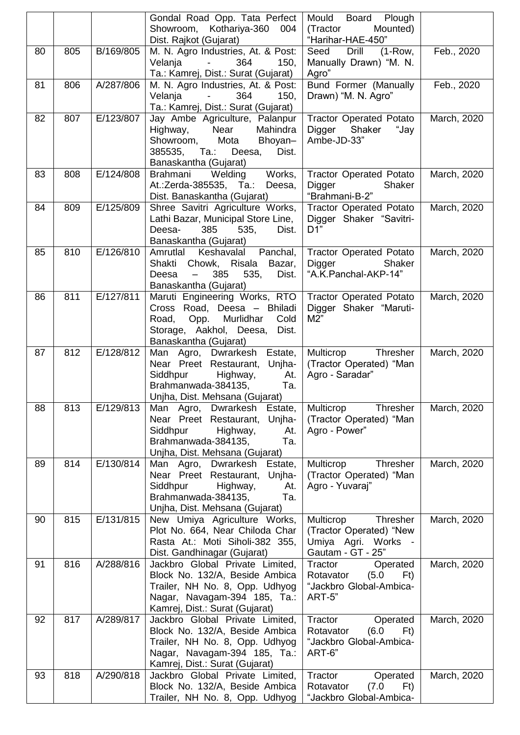|    |     |           | Gondal Road Opp. Tata Perfect                                                      | Mould Board Plough                                          |             |
|----|-----|-----------|------------------------------------------------------------------------------------|-------------------------------------------------------------|-------------|
|    |     |           | Showroom, Kothariya-360 004<br>Dist. Rajkot (Gujarat)                              | (Tractor<br>Mounted)<br>"Harihar-HAE-450"                   |             |
| 80 | 805 | B/169/805 | M. N. Agro Industries, At. & Post:                                                 | $(1-Row,$<br>Seed<br>Drill                                  | Feb., 2020  |
|    |     |           | Velanja<br>364<br>150,<br><b>Contractor</b><br>Ta.: Kamrej, Dist.: Surat (Gujarat) | Manually Drawn) "M. N.<br>Agro"                             |             |
| 81 | 806 | A/287/806 | M. N. Agro Industries, At. & Post:                                                 | Bund Former (Manually                                       | Feb., 2020  |
|    |     |           | 364<br>Velanja<br>150,                                                             | Drawn) "M. N. Agro"                                         |             |
| 82 | 807 | E/123/807 | Ta.: Kamrej, Dist.: Surat (Gujarat)<br>Jay Ambe Agriculture, Palanpur              | <b>Tractor Operated Potato</b>                              | March, 2020 |
|    |     |           | Near<br>Highway,<br>Mahindra                                                       | Digger<br>Shaker<br>"Jay                                    |             |
|    |     |           | Showroom,<br>Mota<br>Bhoyan-                                                       | Ambe-JD-33"                                                 |             |
|    |     |           | 385535, Ta.:<br>Deesa,<br>Dist.                                                    |                                                             |             |
| 83 | 808 | E/124/808 | Banaskantha (Gujarat)<br>Works,<br>Brahmani<br>Welding                             | <b>Tractor Operated Potato</b>                              | March, 2020 |
|    |     |           | At.:Zerda-385535, Ta.: Deesa,                                                      | Digger<br>Shaker                                            |             |
|    |     |           | Dist. Banaskantha (Gujarat)                                                        | "Brahmani-B-2"                                              |             |
| 84 | 809 | E/125/809 | Shree Savitri Agriculture Works,                                                   | <b>Tractor Operated Potato</b>                              | March, 2020 |
|    |     |           | Lathi Bazar, Municipal Store Line,<br>Deesa-<br>385<br>535,<br>Dist.               | Digger Shaker "Savitri-<br>D1"                              |             |
|    |     |           | Banaskantha (Gujarat)                                                              |                                                             |             |
| 85 | 810 | E/126/810 | Amrutlal Keshavalal Panchal,                                                       | <b>Tractor Operated Potato</b>                              | March, 2020 |
|    |     |           | Shakti Chowk, Risala<br>Bazar,<br>385<br>535,<br>Dist.<br>Deesa                    | Digger<br>Shaker<br>"A.K.Panchal-AKP-14"                    |             |
|    |     |           | Banaskantha (Gujarat)                                                              |                                                             |             |
| 86 | 811 | E/127/811 | Maruti Engineering Works, RTO                                                      | <b>Tractor Operated Potato</b>                              | March, 2020 |
|    |     |           | Cross Road, Deesa - Bhiladi                                                        | Digger Shaker "Maruti-<br>M2"                               |             |
|    |     |           | Murlidhar<br>Road,<br>Opp.<br>Cold<br>Storage, Aakhol, Deesa, Dist.                |                                                             |             |
|    |     |           | Banaskantha (Gujarat)                                                              |                                                             |             |
| 87 | 812 | E/128/812 | Man Agro, Dwrarkesh Estate,                                                        | Multicrop Thresher                                          | March, 2020 |
|    |     |           | Near Preet Restaurant, Unjha-<br>Siddhpur<br>Highway,<br>At.                       | (Tractor Operated) "Man<br>Agro - Saradar"                  |             |
|    |     |           | Brahmanwada-384135,<br>Ta.                                                         |                                                             |             |
|    |     |           | Unjha, Dist. Mehsana (Gujarat)                                                     |                                                             |             |
| 88 | 813 | E/129/813 | Man Agro, Dwrarkesh Estate,<br>Near Preet Restaurant,                              | Thresher<br>Multicrop                                       | March, 2020 |
|    |     |           | Unjha-<br>Siddhpur<br>Highway,<br>At.                                              | (Tractor Operated) "Man<br>Agro - Power"                    |             |
|    |     |           | Brahmanwada-384135,<br>Ta.                                                         |                                                             |             |
|    |     |           | Unjha, Dist. Mehsana (Gujarat)                                                     |                                                             |             |
| 89 | 814 | E/130/814 | Man Agro, Dwrarkesh Estate,<br>Near Preet Restaurant, Unjha-                       | Thresher<br>Multicrop<br>(Tractor Operated) "Man            | March, 2020 |
|    |     |           | Highway,<br>Siddhpur<br>At.                                                        | Agro - Yuvaraj"                                             |             |
|    |     |           | Brahmanwada-384135,<br>Ta.                                                         |                                                             |             |
| 90 | 815 | E/131/815 | Unjha, Dist. Mehsana (Gujarat)<br>New Umiya Agriculture Works,                     | Multicrop<br>Thresher                                       | March, 2020 |
|    |     |           | Plot No. 664, Near Chiloda Char                                                    | (Tractor Operated) "New                                     |             |
|    |     |           | Rasta At.: Moti Siholi-382 355,                                                    | Umiya Agri. Works -                                         |             |
|    |     |           | Dist. Gandhinagar (Gujarat)                                                        | Gautam - GT - 25"                                           |             |
| 91 | 816 | A/288/816 | Jackbro Global Private Limited,<br>Block No. 132/A, Beside Ambica                  | Tractor<br>Operated<br>Rotavator<br>(5.0)<br>F <sub>t</sub> | March, 2020 |
|    |     |           | Trailer, NH No. 8, Opp. Udhyog                                                     | "Jackbro Global-Ambica-                                     |             |
|    |     |           | Nagar, Navagam-394 185, Ta.:                                                       | ART-5"                                                      |             |
| 92 | 817 | A/289/817 | Kamrej, Dist.: Surat (Gujarat)<br>Jackbro Global Private Limited,                  | Tractor                                                     | March, 2020 |
|    |     |           | Block No. 132/A, Beside Ambica                                                     | Operated<br>Rotavator<br>(6.0)<br>F <sub>t</sub>            |             |
|    |     |           | Trailer, NH No. 8, Opp. Udhyog                                                     | "Jackbro Global-Ambica-                                     |             |
|    |     |           | Nagar, Navagam-394 185, Ta.:                                                       | ART-6"                                                      |             |
| 93 | 818 | A/290/818 | Kamrej, Dist.: Surat (Gujarat)<br>Jackbro Global Private Limited,                  | Tractor<br>Operated                                         | March, 2020 |
|    |     |           | Block No. 132/A, Beside Ambica                                                     | Rotavator<br>(7.0)<br>F <sub>t</sub>                        |             |
|    |     |           | Trailer, NH No. 8, Opp. Udhyog                                                     | "Jackbro Global-Ambica-                                     |             |